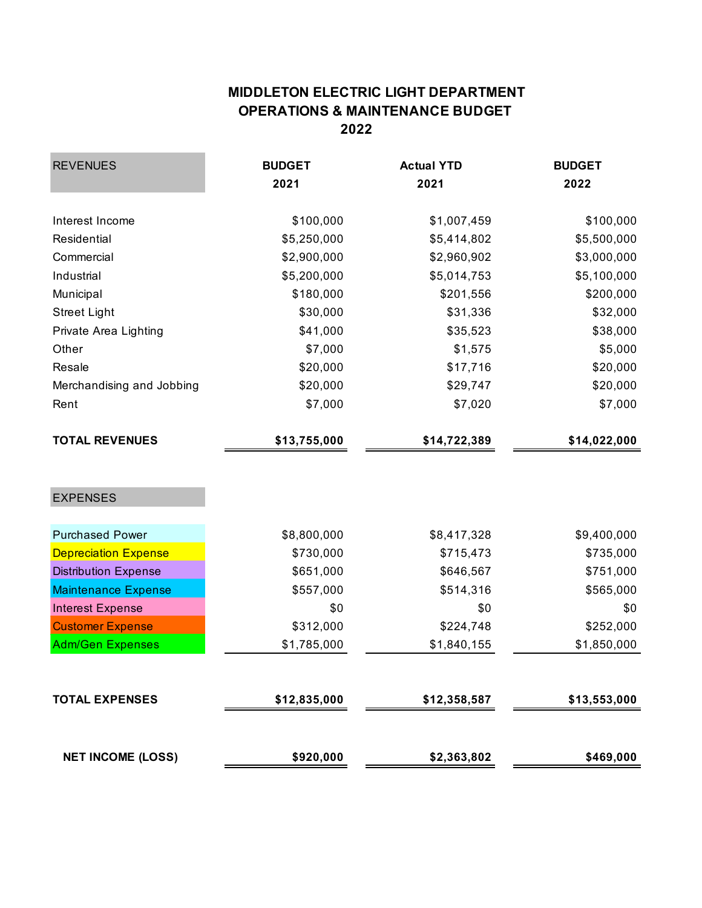## **MIDDLETON ELECTRIC LIGHT DEPARTMENT OPERATIONS & MAINTENANCE BUDGET 2022**

| <b>REVENUES</b>             | <b>BUDGET</b> | <b>Actual YTD</b> | <b>BUDGET</b> |  |
|-----------------------------|---------------|-------------------|---------------|--|
|                             | 2021          | 2021              | 2022          |  |
| Interest Income             | \$100,000     | \$1,007,459       | \$100,000     |  |
| Residential                 | \$5,250,000   | \$5,414,802       | \$5,500,000   |  |
| Commercial                  | \$2,900,000   | \$2,960,902       | \$3,000,000   |  |
| Industrial                  | \$5,200,000   | \$5,014,753       | \$5,100,000   |  |
| Municipal                   | \$180,000     | \$201,556         | \$200,000     |  |
| <b>Street Light</b>         | \$30,000      | \$31,336          | \$32,000      |  |
| Private Area Lighting       | \$41,000      | \$35,523          | \$38,000      |  |
| Other                       | \$7,000       | \$1,575           | \$5,000       |  |
| Resale                      | \$20,000      | \$17,716          | \$20,000      |  |
| Merchandising and Jobbing   | \$20,000      | \$29,747          | \$20,000      |  |
| Rent                        | \$7,000       | \$7,020           | \$7,000       |  |
| <b>TOTAL REVENUES</b>       | \$13,755,000  | \$14,722,389      | \$14,022,000  |  |
| <b>EXPENSES</b>             |               |                   |               |  |
| <b>Purchased Power</b>      | \$8,800,000   | \$8,417,328       | \$9,400,000   |  |
| <b>Depreciation Expense</b> | \$730,000     | \$715,473         | \$735,000     |  |
| <b>Distribution Expense</b> | \$651,000     | \$646,567         | \$751,000     |  |
| <b>Maintenance Expense</b>  | \$557,000     | \$514,316         | \$565,000     |  |
| <b>Interest Expense</b>     | \$0           | \$0               | \$0           |  |
| <b>Customer Expense</b>     | \$312,000     | \$224,748         | \$252,000     |  |
| <b>Adm/Gen Expenses</b>     | \$1,785,000   | \$1,840,155       | \$1,850,000   |  |
|                             |               |                   |               |  |
| <b>TOTAL EXPENSES</b>       | \$12,835,000  | \$12,358,587      | \$13,553,000  |  |
| <b>NET INCOME (LOSS)</b>    | \$920,000     | \$2,363,802       | \$469,000     |  |
|                             |               |                   |               |  |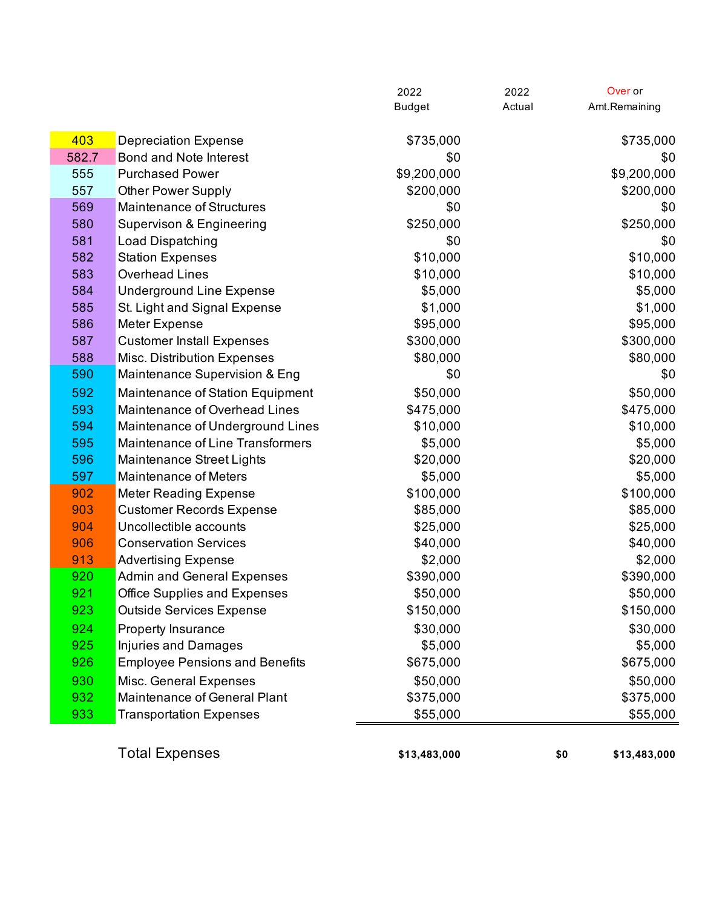|       |                                       | <b>Budget</b> | Actual | Amt.Remaining |
|-------|---------------------------------------|---------------|--------|---------------|
|       |                                       |               |        |               |
| 403   | <b>Depreciation Expense</b>           | \$735,000     |        | \$735,000     |
| 582.7 | Bond and Note Interest                | \$0           |        | \$0           |
| 555   | <b>Purchased Power</b>                | \$9,200,000   |        | \$9,200,000   |
| 557   | <b>Other Power Supply</b>             | \$200,000     |        | \$200,000     |
| 569   | <b>Maintenance of Structures</b>      | \$0           |        | \$0           |
| 580   | Supervison & Engineering              | \$250,000     |        | \$250,000     |
| 581   | Load Dispatching                      | \$0           |        | \$0           |
| 582   | <b>Station Expenses</b>               | \$10,000      |        | \$10,000      |
| 583   | <b>Overhead Lines</b>                 | \$10,000      |        | \$10,000      |
| 584   | <b>Underground Line Expense</b>       | \$5,000       |        | \$5,000       |
| 585   | St. Light and Signal Expense          | \$1,000       |        | \$1,000       |
| 586   | Meter Expense                         | \$95,000      |        | \$95,000      |
| 587   | <b>Customer Install Expenses</b>      | \$300,000     |        | \$300,000     |
| 588   | Misc. Distribution Expenses           | \$80,000      |        | \$80,000      |
| 590   | Maintenance Supervision & Eng         | \$0           |        | \$0           |
| 592   | Maintenance of Station Equipment      | \$50,000      |        | \$50,000      |
| 593   | Maintenance of Overhead Lines         | \$475,000     |        | \$475,000     |
| 594   | Maintenance of Underground Lines      | \$10,000      |        | \$10,000      |
| 595   | Maintenance of Line Transformers      | \$5,000       |        | \$5,000       |
| 596   | Maintenance Street Lights             | \$20,000      |        | \$20,000      |
| 597   | <b>Maintenance of Meters</b>          | \$5,000       |        | \$5,000       |
| 902   | <b>Meter Reading Expense</b>          | \$100,000     |        | \$100,000     |
| 903   | <b>Customer Records Expense</b>       | \$85,000      |        | \$85,000      |
| 904   | Uncollectible accounts                | \$25,000      |        | \$25,000      |
| 906   | <b>Conservation Services</b>          | \$40,000      |        | \$40,000      |
| 913   | <b>Advertising Expense</b>            | \$2,000       |        | \$2,000       |
| 920   | <b>Admin and General Expenses</b>     | \$390,000     |        | \$390,000     |
| 921   | <b>Office Supplies and Expenses</b>   | \$50,000      |        | \$50,000      |
| 923   | <b>Outside Services Expense</b>       | \$150,000     |        | \$150,000     |
| 924   | <b>Property Insurance</b>             | \$30,000      |        | \$30,000      |
| 925   | <b>Injuries and Damages</b>           | \$5,000       |        | \$5,000       |
| 926   | <b>Employee Pensions and Benefits</b> | \$675,000     |        | \$675,000     |
| 930   | Misc. General Expenses                | \$50,000      |        | \$50,000      |
| 932   | Maintenance of General Plant          | \$375,000     |        | \$375,000     |
| 933   | <b>Transportation Expenses</b>        | \$55,000      |        | \$55,000      |
|       | <b>Total Expenses</b>                 | \$13,483,000  | \$0    | \$13,483,000  |